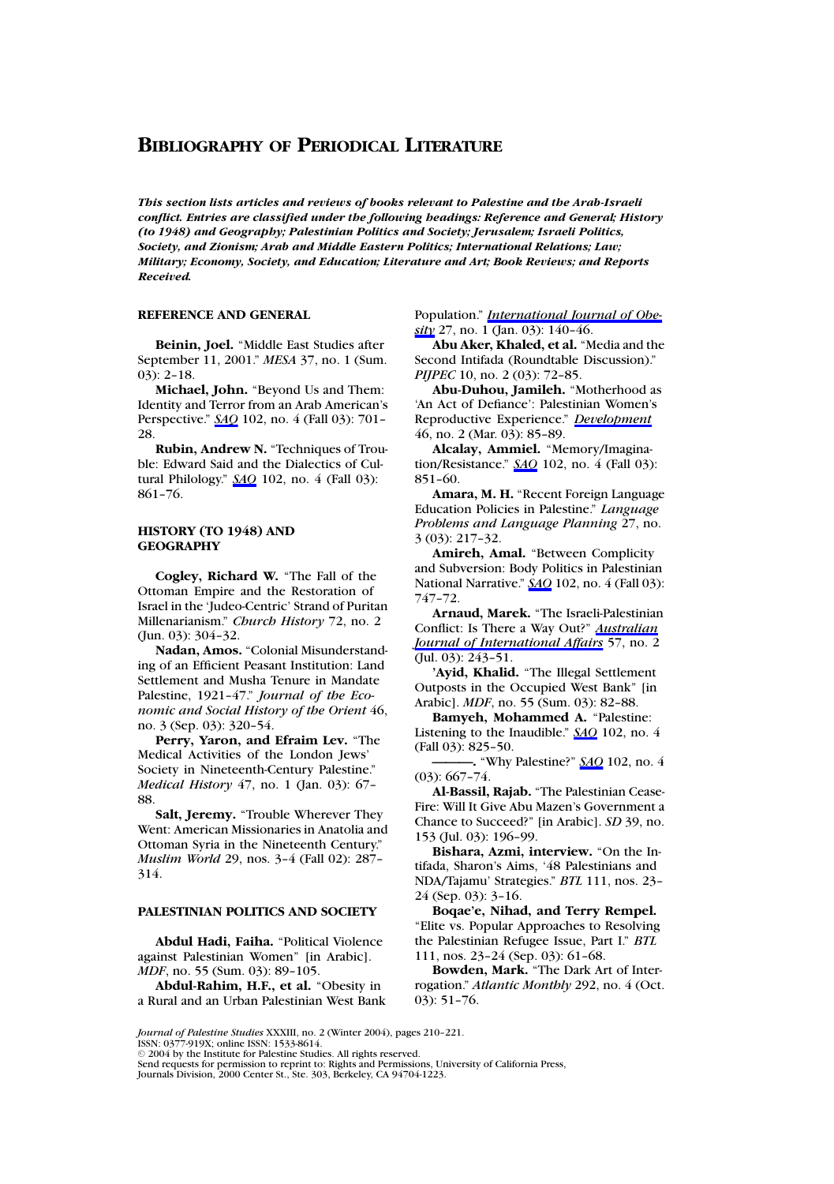*This section lists articles and reviews of books relevant to Palestine and the Arab-Israeli conflict. Entries are classified under the following headings: Reference and General; History (to 1948) and Geography;Palestinian Politics and Society;Jerusalem;Israeli Politics, Society, and Zionism;Arab and Middle Eastern Politics;International Relations;Law; Military;Economy, Society, and Education;Literature and Art;Book Reviews;and Reports Received.*

#### **REFERENCE AND GENERAL**

**Beinin, Joel.** "Middle East Studies after September 11, 2001." *MESA* 37, no. 1 (Sum. 03): 2–18.

**Michael, John.** "Beyond Us and Them: Identity and Terror from an Arab American's Perspective." *SAQ* 102, no. 4 (Fall 03): 701– 28.

**Rubin, Andrew N.** "Techniques of Trouble: Edward Said and the Dialectics of Cultural Philology." *SAQ* 102, no. 4 (Fall 03): 861–76.

#### **HISTORY (TO 1948) AND GEOGRAPHY**

**Cogley, RichardW.** "The Fall of the Ottoman Empire and the Restoration of Israel in the 'Judeo-Centric' Strand of Puritan Millenarianism." *Church History* 72, no. 2 (Jun. 03): 304–32.

**Nadan, Amos.** "Colonial Misunderstanding of an Efficient Peasant Institution: Land Settlement and Musha Tenure in Mandate Palestine, 1921–47." *Journal of the Economic and Social History of the Orient* 46, no. 3 (Sep. 03): 320–54.

Perry, Yaron, and Efraim Lev. "The Medical Activities of the London Jews' Society in Nineteenth-Century Palestine." *Medical History* 47, no. 1 (Jan. 03): 67– 88.

**Salt, Jeremy.** "Trouble Wherever They Went: American Missionaries in Anatolia and Ottoman Syria in the Nineteenth Century." *Muslim World* 29, nos. 3–4 (Fall 02): 287– 314.

# **PALESTINIAN POLITICS AND SOCIETY**

**Abdul Hadi, Faiha.** "Political Violence against Palestinian Women" [in Arabic]. *MDF*, no. 55 (Sum. 03): 89–105.

**Abdul-Rahim, H.F., et al.** "Obesity in a Rural and an Urban Palestinian West Bank Population." *International Journal of Obesity* 27, no. 1 (Jan. 03): 140–46.

**Abu Aker, Khaled, et al.** "Media and the Second Intifada (Roundtable Discussion)." *PIJPEC* 10, no. 2 (03): 72-85.

**Abu-Duhou, Jamileh.** "Motherhood as 'An Act of Defiance': Palestinian Women's Reproductive Experience." *Development* 46, no. 2 (Mar. 03): 85–89.

**Alcalay, Ammiel.** "Memory/Imagination/Resistance." *SAQ* 102, no. 4 (Fall 03): 851–60.

**Amara, M. H.** "Recent Foreign Language Education Policies in Palestine." *Language Problems and Language Planning* 27, no. 3 (03): 217–32.

**Amireh, Amal.** "Between Complicity and Subversion: Body Politics in Palestinian National Narrative." *SAQ* 102, no. 4 (Fall 03): 747–72.

**Arnaud, Marek.** "The Israeli-Palestinian Conflict: Is There a Way Out?" *Australian Journal of International Affairs* 57, no. 2 (Jul. 03): 243–51.

**'Ayid, Khalid.** "The Illegal Settlement Outposts in the Occupied West Bank" [in Arabic]. *MDF*, no. 55 (Sum. 03): 82–88.

Bamyeh, Mohammed A. "Palestine: Listening to the Inaudible." *SAQ* 102, no. 4 (Fall 03): 825–50.

**———.** "Why Palestine?" *SAQ* 102, no. 4 (03): 667–74.

**Al-Bassil, Rajab.** "The Palestinian Cease-Fire: Will It Give Abu Mazen's Government a Chance to Succeed?" [in Arabic]. *SD* 39, no. 153 (Jul. 03): 196–99.

**Bishara, Azmi, interview.** "On the Intifada, Sharon's Aims, '48 Palestinians and NDA/Tajamu' Strategies." *BTL* 111, nos. 23– 24 (Sep. 03): 3–16.

**Boqae'e, Nihad, and Terry Rempel.** "Elite vs. Popular Approaches to Resolving the Palestinian Refugee Issue, Part I." *BTL* 111, nos. 23–24 (Sep. 03): 61–68.

**Bowden, Mark.** "The Dark Art of Interrogation." *Atlantic Monthly* 292, no. 4 (Oct. 03): 51–76.

*Journal of Palestine Studies* XXXIII, no. 2 (Winter 2004), pages 210–221.

ISSN: 0377-919X; online ISSN: 1533-8614.

2004 by the Institute for Palestine Studies. All rights reserved.

Send requests for permission to reprint to: Rights and Permissions, University of California Press, Journals Division, 2000 Center St., Ste. 303, Berkeley, CA 94704-1223.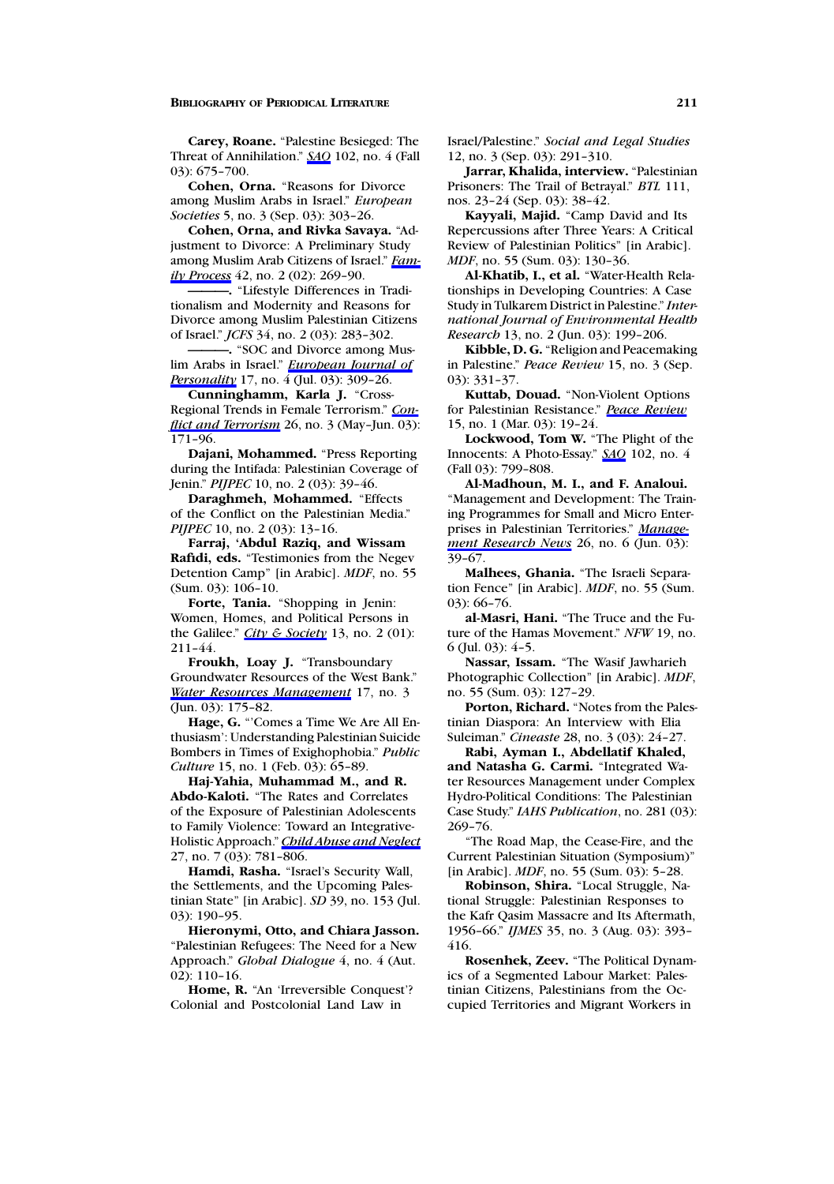**Carey, Roane.** "Palestine Besieged: The Threat of Annihilation." *SAQ* 102, no. 4 (Fall 03): 675–700.

**Cohen, Orna.** "Reasons for Divorce among Muslim Arabs in Israel." *European Societies* 5, no. 3 (Sep. 03): 303–26.

**Cohen, Orna, and Rivka Savaya.** "Adjustment to Divorce: A Preliminary Study among Muslim Arab Citizens of Israel." *Family Process* 42, no. 2 (02): 269–90.

**———.** "Lifestyle Differences in Traditionalism and Modernity and Reasons for Divorce among Muslim Palestinian Citizens of Israel." *JCFS* 34, no. 2 (03): 283–302.

**———.** "SOC and Divorce among Muslim Arabs in Israel." *European Journal of Personality* 17, no. 4 (Jul. 03): 309–26.

**Cunninghamm, Karla J.** "Cross-Regional Trends in Female Terrorism." *Conflict and Terrorism* 26, no. 3 (May–Jun. 03): 171–96.

**Dajani, Mohammed.** "Press Reporting during the Intifada: Palestinian Coverage of Jenin." *PIJPEC* 10, no. 2 (03): 39–46.

**Daraghmeh, Mohammed.** "Effects of the Conflict on the Palestinian Media." *PIJPEC* 10, no. 2 (03): 13-16.

**Farraj, 'Abdul Raziq, and Wissam Rafidi, eds.** "Testimonies from the Negev Detention Camp" [in Arabic]. *MDF*, no. 55 (Sum. 03): 106–10.

**Forte, Tania.** "Shopping in Jenin: Women, Homes, and Political Persons in the Galilee." *City & Society* 13, no. 2 (01): 211–44.

**Froukh, Loay J.** "Transboundary Groundwater Resources of the West Bank." *Water Resources Management* 17, no. 3 (Jun. 03): 175–82.

**Hage, G.** "'Comes a Time We Are All Enthusiasm': Understanding Palestinian Suicide Bombers in Times of Exighophobia." *Public Culture* 15, no. 1 (Feb. 03): 65-89.

**Haj-Yahia, MuhammadM., andR. Abdo-Kaloti.** "The Rates and Correlates of the Exposure of Palestinian Adolescents to Family Violence: Toward an Integrative-Holistic Approach." *Child Abuse and Neglect* 27, no. 7 (03): 781–806.

**Hamdi, Rasha.** "Israel's Security Wall, the Settlements, and the Upcoming Palestinian State" [in Arabic]. *SD* 39, no. 153 (Jul. 03): 190–95.

Hieronymi, Otto, and Chiara Jasson. "Palestinian Refugees: The Need for a New Approach." *Global Dialogue* 4, no. 4 (Aut. 02): 110–16.

**Home, R.** "An 'Irreversible Conquest'? Colonial and Postcolonial Land Law in

Israel/Palestine." *Social and Legal Studies* 12, no. 3 (Sep. 03): 291–310.

**Jarrar, Khalida, interview.** "Palestinian Prisoners: The Trail of Betrayal." *BTL* 111, nos. 23–24 (Sep. 03): 38–42.

**Kayyali, Majid.** "Camp David and Its Repercussions after Three Years: A Critical Review of Palestinian Politics" [in Arabic]. *MDF*, no. 55 (Sum. 03): 130–36.

**Al-Khatib, I., et al.** "Water-Health Relationships in Developing Countries: A Case Study in Tulkarem District in Palestine." *International Journal of Environmental Health Research* 13, no. 2 (Jun. 03): 199–206.

**Kibble, D. G.** "Religion and Peacemaking in Palestine." *Peace Review* 15, no. 3 (Sep. 03): 331–37.

**Kuttab, Douad.** "Non-Violent Options for Palestinian Resistance." *Peace Review* 15, no. 1 (Mar. 03): 19–24.

**Lockwood, Tom W.** "The Plight of the Innocents: A Photo-Essay." *SAQ* 102, no. 4 (Fall 03): 799–808.

**Al-Madhoun, M. I., and F. Analoui.** "Management and Development: The Training Programmes for Small and Micro Enterprises in Palestinian Territories." *Management Research News* 26, no. 6 (Jun. 03): 39–67.

**Malhees, Ghania.** "The Israeli Separation Fence" [in Arabic]. *MDF*, no. 55 (Sum. 03): 66–76.

**al-Masri, Hani.** "The Truce and the Future of the Hamas Movement." *NFW* 19, no.  $6$  (Jul. 03):  $4-5$ .

**Nassar, Issam.** "The Wasif Jawharieh Photographic Collection" [in Arabic]. *MDF*, no. 55 (Sum. 03): 127–29.

**Porton, Richard.** "Notes from the Palestinian Diaspora: An Interview with Elia Suleiman." *Cineaste* 28, no. 3 (03): 24–27.

**Rabi, Ayman I., Abdellatif Khaled,** and Natasha G. Carmi. "Integrated Water Resources Management under Complex Hydro-Political Conditions: The Palestinian Case Study." *IAHS Publication*, no. 281 (03): 269–76.

"The Road Map, the Cease-Fire, and the Current Palestinian Situation (Symposium)" [in Arabic]. *MDF*, no. 55 (Sum. 03): 5–28.

**Robinson, Shira.** "Local Struggle, National Struggle: Palestinian Responses to the Kafr Qasim Massacre and Its Aftermath, 1956–66." *IJMES* 35, no. 3 (Aug. 03): 393– 416.

**Rosenhek, Zeev.** "The Political Dynamics of a Segmented Labour Market: Palestinian Citizens, Palestinians from the Occupied Territories and Migrant Workers in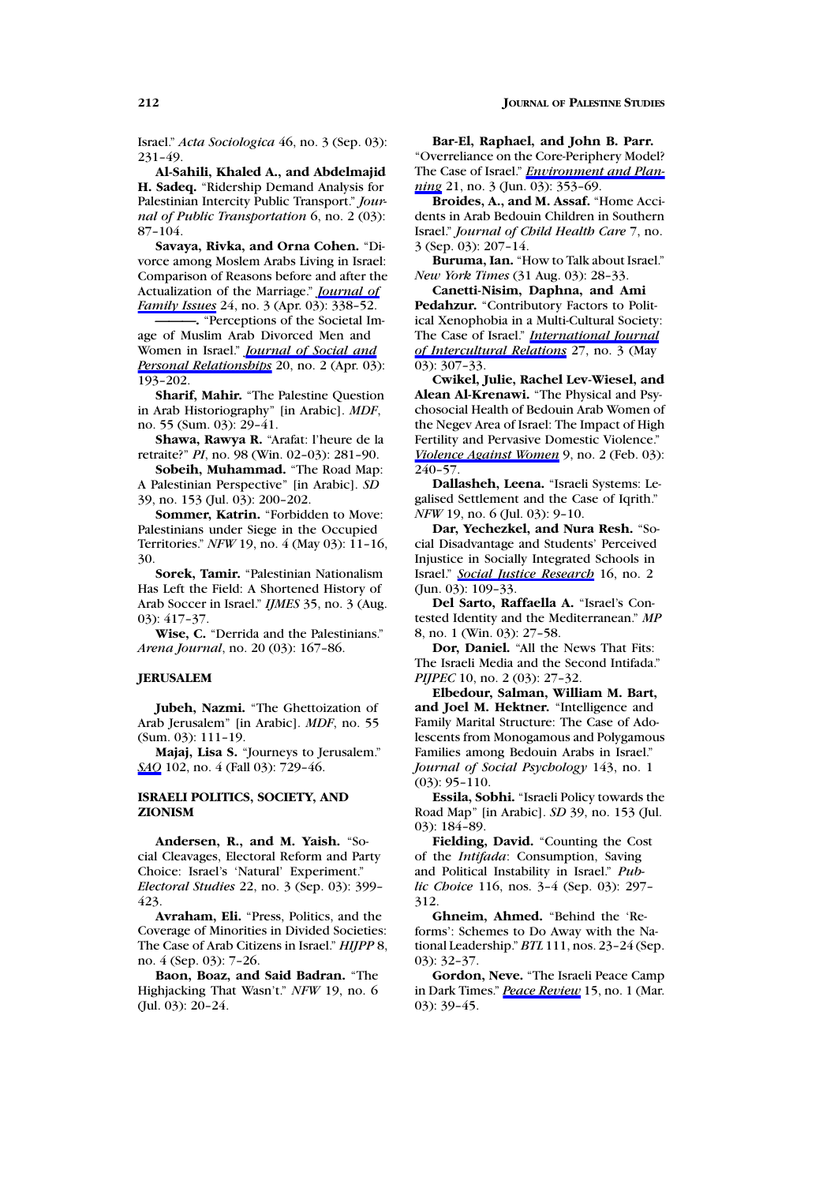Israel." *Acta Sociologica* 46, no. 3 (Sep. 03): 231–49.

Al-Sahili, Khaled A., and Abdelmajid **H. Sadeq.** "Ridership Demand Analysis for Palestinian Intercity Public Transport." *Journal of Public Transportation* 6, no. 2 (03): 87–104.

**Savaya, Rivka, and Orna Cohen.** "Divorce among Moslem Arabs Living in Israel: Comparison of Reasons before and after the Actualization of the Marriage." *Journal of Family Issues* 24, no. 3 (Apr. 03): 338–52.

**———.** "Perceptions of the Societal Image of Muslim Arab Divorced Men and Women in Israel." *Journal of Social and Personal Relationships* 20, no. 2 (Apr. 03): 193–202.

**Sharif, Mahir.** "The Palestine Question in Arab Historiography" [in Arabic]. *MDF*, no. 55 (Sum. 03): 29–41.

**Shawa, Rawya R.** "Arafat: l'heure de la retraite?" *PI*, no. 98(Win. 02–03): 281–90.

**Sobeih, Muhammad.** "The Road Map: A Palestinian Perspective" [in Arabic]. *SD* 39, no. 153 (Jul. 03): 200–202.

**Sommer, Katrin.** "Forbidden to Move: Palestinians under Siege in the Occupied Territories." *NFW* 19, no. 4 (May 03): 11–16, 30.

**Sorek, Tamir.** "Palestinian Nationalism Has Left the Field: A Shortened History of Arab Soccer in Israel." *IJMES* 35, no. 3 (Aug. 03): 417–37.

**Wise, C.** "Derrida and the Palestinians." *Arena Journal*, no. 20 (03): 167–86.

### **JERUSALEM**

**Jubeh, Nazmi.** "The Ghettoization of Arab Jerusalem" [in Arabic]. *MDF*, no. 55 (Sum. 03): 111–19.

**Majaj, Lisa S.** "Journeys to Jerusalem." *SAQ* 102, no. 4 (Fall 03): 729–46.

#### **ISRAELI POLITICS, SOCIETY, AND ZIONISM**

**Andersen, R., and M. Yaish.** "Social Cleavages, Electoral Reform and Party Choice: Israel's 'Natural' Experiment." *Electoral Studies* 22, no. 3 (Sep. 03): 399– 423.

**Avraham, Eli.** "Press, Politics, and the Coverage of Minorities in Divided Societies: The Case of Arab Citizens in Israel." *HIJPP* 8, no. 4 (Sep. 03): 7–26.

Baon, Boaz, and Said Badran. "The Highjacking That Wasn't." *NFW* 19, no. 6 (Jul. 03): 20–24.

**Bar-El, Raphael, andJohn B. Parr.**

"Overreliance on the Core-Periphery Model? The Case of Israel." *Environment and Planning* 21, no. 3 (Jun. 03): 353-69.

**Broides, A., and M. Assaf.** "Home Accidents in Arab Bedouin Children in Southern Israel." *Journal of Child Health Care* 7, no. 3 (Sep. 03): 207–14.

**Buruma, Ian.** "How to Talk about Israel." *New York Times* (31 Aug. 03): 28–33.

Canetti-Nisim, Daphna, and Ami **Pedahzur.** "Contributory Factors to Political Xenophobia in a Multi-Cultural Society: The Case of Israel." *International Journal of Intercultural Relations* 27, no. 3 (May 03): 307–33.

**Cwikel, Julie, Rachel Lev-Wiesel, and Alean Al-Krenawi.** "The Physical and Psychosocial Health of Bedouin Arab Women of the Negev Area of Israel: The Impact of High Fertility and Pervasive Domestic Violence." *Violence Against Women* 9, no. 2 (Feb. 03):  $240 - 57$ .

**Dallasheh, Leena.** "Israeli Systems: Legalised Settlement and the Case of Iqrith." *NFW* 19, no. 6 (Jul. 03): 9–10.

Dar, Yechezkel, and Nura Resh. "Social Disadvantage and Students' Perceived Injustice in Socially Integrated Schools in Israel." *Social Justice Research* 16, no. 2 (Jun. 03): 109–33.

**Del Sarto, Raffaella A.** "Israel's Contested Identity and the Mediterranean." *MP* 8, no. 1 (Win. 03): 27–58.

**Dor, Daniel.** "All the News That Fits: The Israeli Media and the Second Intifada." *PIJPEC* 10, no. 2 (03): 27-32.

**Elbedour, Salman, William M. Bart,** and Joel M. Hektner. "Intelligence and Family Marital Structure: The Case of Adolescents from Monogamous and Polygamous Families among Bedouin Arabs in Israel." *Journal of Social Psychology* 143, no. 1 (03): 95–110.

**Essila, Sobhi.** "Israeli Policy towards the Road Map" [in Arabic]. *SD* 39, no. 153 (Jul. 03): 184–89.

**Fielding, David.** "Counting the Cost of the *Intifada*: Consumption, Saving and Political Instability in Israel." *Public Choice* 116, nos. 3–4 (Sep. 03): 297– 312.

**Ghneim, Ahmed.** "Behind the 'Reforms': Schemes to Do Away with the National Leadership." *BTL* 111, nos. 23–24 (Sep. 03): 32–37.

**Gordon, Neve.** "The Israeli Peace Camp in Dark Times." *Peace Review* 15, no. 1 (Mar. 03): 39–45.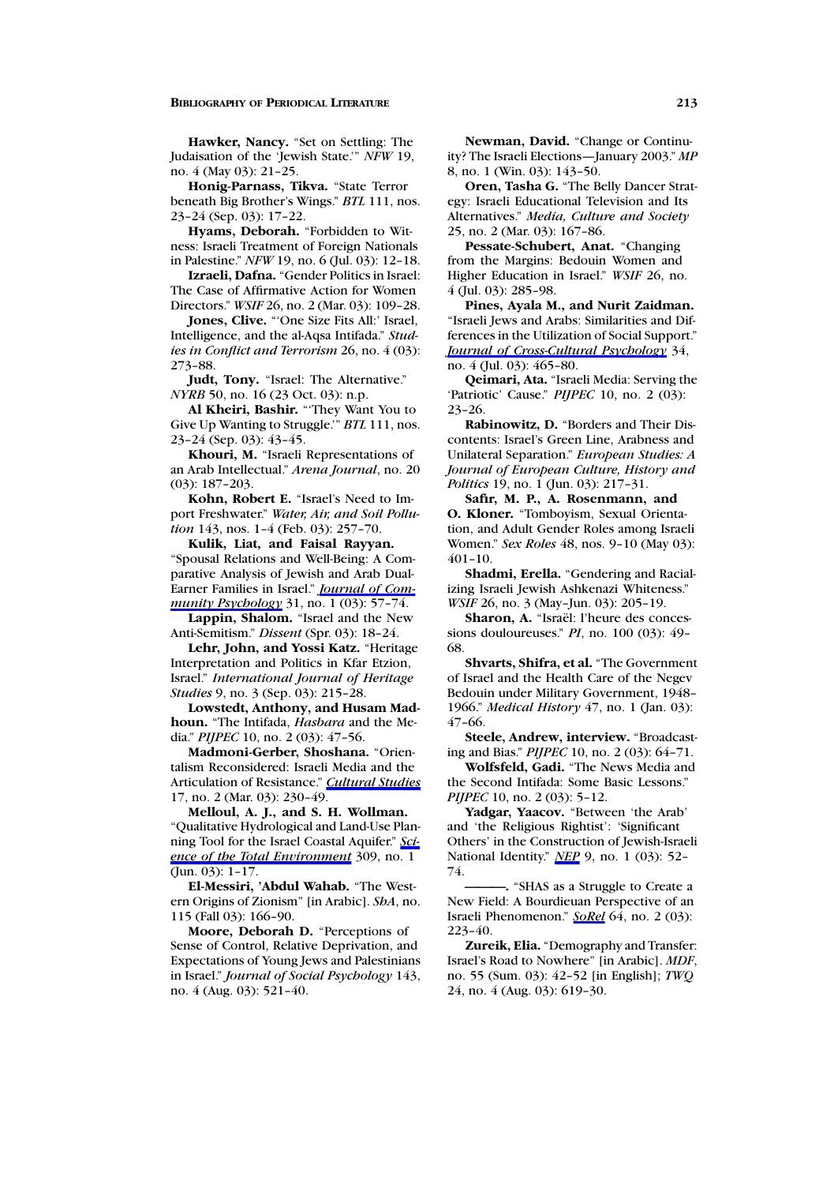**Hawker, Nancy.** "Set on Settling: The Judaisation of the 'Jewish State.'" *NFW* 19, no. 4 (May 03): 21–25.

**Honig-Parnass, Tikva.** "State Terror beneath Big Brother's Wings." *BTL* 111, nos. 23–24 (Sep. 03): 17–22.

**Hyams, Deborah.** "Forbidden to Witness: Israeli Treatment of Foreign Nationals in Palestine." *NFW* 19, no. 6 (Jul. 03): 12–18.

**Izraeli, Dafna.** "Gender Politics in Israel: The Case of Affirmative Action for Women Directors." *WSIF* 26, no. 2 (Mar. 03): 109–28.

**Jones, Clive.** "'One Size Fits All:' Israel, Intelligence, and the al-Aqsa Intifada." *Studies in Conflict and Terrorism* 26, no. 4 (03): 273–88.

**Judt, Tony.** "Israel: The Alternative." *NYRB* 50, no. 16 (23 Oct. 03): n.p.

**Al Kheiri, Bashir.** "'They Want You to Give Up Wanting to Struggle.'" *BTL* 111, nos. 23–24 (Sep. 03): 43–45.

**Khouri, M.** "Israeli Representations of an Arab Intellectual." *Arena Journal*, no. 20 (03): 187–203.

**Kohn, Robert E.** "Israel's Need to Import Freshwater." *Water, Air, and Soil Pollution* 143, nos. 1–4 (Feb. 03): 257–70.

Kulik, Liat, and Faisal Rayyan. "Spousal Relations and Well-Being: A Comparative Analysis of Jewish and Arab Dual-Earner Families in Israel." *Journal of Community Psychology* 31, no. 1 (03): 57–74.

**Lappin, Shalom.** "Israel and the New Anti-Semitism." *Dissent* (Spr. 03): 18–24.

Lehr, John, and Yossi Katz. "Heritage Interpretation and Politics in Kfar Etzion, Israel." *International Journal of Heritage Studies* 9, no. 3 (Sep. 03): 215–28.

**Lowstedt, Anthony, and Husam Madhoun.** "The Intifada, *Hasbara* and the Media." *PIJPEC* 10, no. 2 (03): 47–56.

**Madmoni-Gerber, Shoshana.** "Orientalism Reconsidered: Israeli Media and the Articulation of Resistance." *Cultural Studies* 17, no. 2 (Mar. 03): 230–49.

Melloul, A. J., and S. H. Wollman. "Qualitative Hydrological and Land-Use Planning Tool for the Israel Coastal Aquifer." *Science of the Total Environment* 309, no. 1 (Jun. 03): 1–17.

**El-Messiri, 'Abdul Wahab.** "The Western Origins of Zionism" [in Arabic]. *ShA*, no. 115 (Fall 03): 166–90.

**Moore, Deborah D.** "Perceptions of Sense of Control, Relative Deprivation, and Expectations of Young Jews and Palestinians in Israel." *Journal of Social Psychology* 143, no. 4 (Aug. 03): 521–40.

**Newman, David.** "Change or Continuity? The Israeli Elections—January 2003." *MP* 8, no. 1 (Win. 03): 143–50.

**Oren, Tasha G.** "The Belly Dancer Strategy: Israeli Educational Television and Its Alternatives." *Media, Culture and Society* 25, no. 2 (Mar. 03): 167–86.

**Pessate-Schubert, Anat.** "Changing from the Margins: Bedouin Women and Higher Education in Israel." *WSIF* 26, no. 4 (Jul. 03): 285–98.

Pines, Ayala M., and Nurit Zaidman. "Israeli Jews and Arabs: Similarities and Differences in the Utilization of Social Support." *Journal of Cross-Cultural Psychology* 34, no. 4 (Jul. 03): 465–80.

**Qeimari, Ata.** "Israeli Media: Serving the 'Patriotic' Cause." *PIJPEC* 10, no. 2 (03): 23–26.

**Rabinowitz, D.** "Borders and Their Discontents: Israel's Green Line, Arabness and Unilateral Separation." *European Studies: A Journal of European Culture, History and Politics* 19, no. 1 (Jun. 03): 217–31.

**Safir, M. P., A. Rosenmann, and O. Kloner.** "Tomboyism, Sexual Orientation, and Adult Gender Roles among Israeli Women." *Sex Roles* 48, nos. 9–10 (May 03): 401–10.

**Shadmi, Erella.** "Gendering and Racializing Israeli Jewish Ashkenazi Whiteness." *WSIF* 26, no. 3 (May–Jun. 03): 205–19.

Sharon, A. "Israël: l'heure des concessions douloureuses." *PI*, no. 100 (03): 49– 68.

**Shvarts, Shifra, et al.** "The Government of Israel and the Health Care of the Negev Bedouin under Military Government, 1948– 1966." *Medical History* 47, no. 1 (Jan. 03): 47–66.

**Steele, Andrew, interview.** "Broadcasting and Bias." *PIJPEC* 10, no. 2 (03): 64–71.

**Wolfsfeld, Gadi.** "The News Media and the Second Intifada: Some Basic Lessons." *PIJPEC* 10, no. 2 (03): 5-12.

**Yadgar, Yaacov.** "Between 'the Arab' and 'the Religious Rightist': 'Significant Others' in the Construction of Jewish-Israeli National Identity." *NEP* 9, no. 1 (03): 52– 74.

**———.** "SHAS as a Struggle to Create a New Field: A Bourdieuan Perspective of an Israeli Phenomenon." *SoRel* 64, no. 2 (03): 223–40.

**Zureik, Elia.** "Demography and Transfer: Israel's Road to Nowhere" [in Arabic]. *MDF*, no. 55 (Sum. 03): 42–52 [in English]; *TWQ* 24, no. 4 (Aug. 03): 619–30.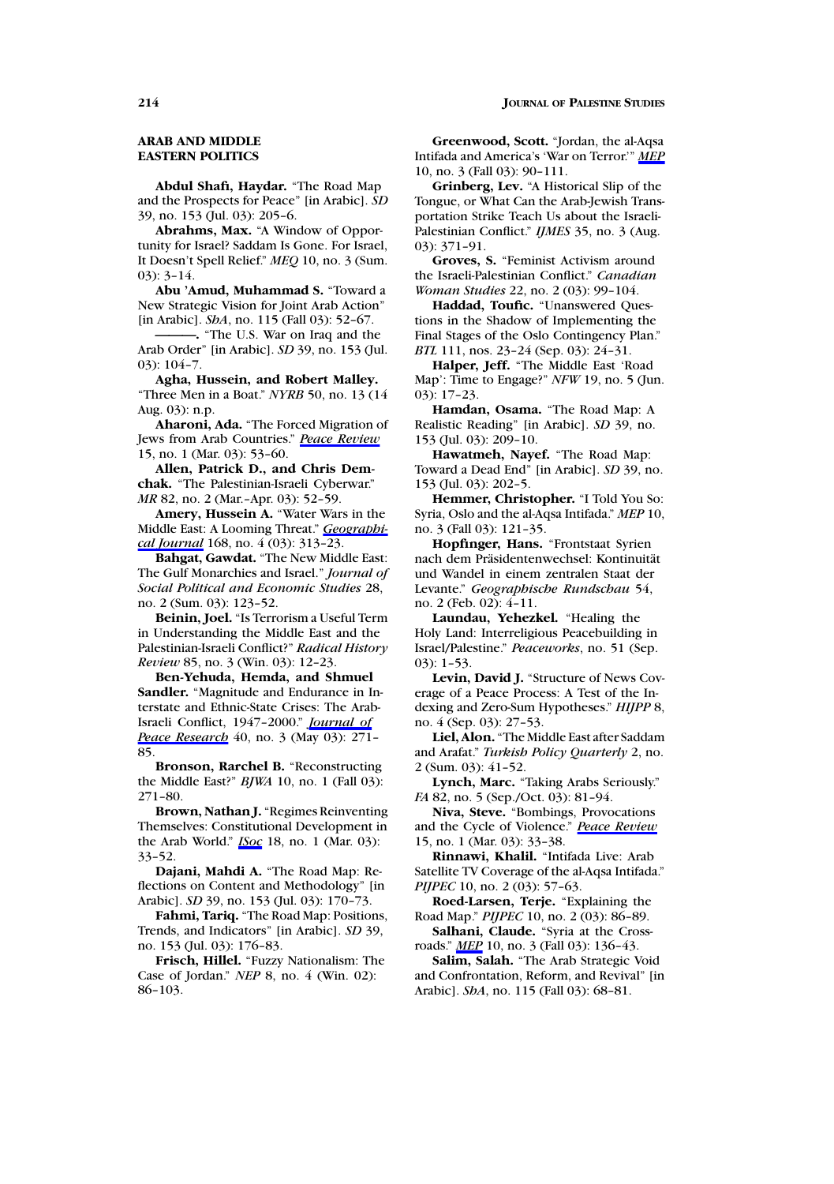### **ARAB AND MIDDLE EASTERN POLITICS**

**Abdul Shafi, Haydar.** "The Road Map and the Prospects for Peace" [in Arabic]. *SD* 39, no. 153 (Jul. 03): 205–6.

**Abrahms, Max.** "A Window of Opportunity for Israel? Saddam Is Gone. For Israel, It Doesn't Spell Relief." *MEQ* 10, no. 3 (Sum. 03): 3–14.

**Abu 'Amud, Muhammad S.** "Toward a New Strategic Vision for Joint Arab Action" [in Arabic]. *ShA*, no. 115 (Fall 03): 52–67.

**———.** "The U.S. War on Iraq and the Arab Order" [in Arabic]. *SD* 39, no. 153 (Jul. 03): 104–7.

Agha, Hussein, and Robert Malley. "Three Men in a Boat." *NYRB* 50, no. 13 (14 Aug. 03): n.p.

**Aharoni, Ada.** "The Forced Migration of Jews from Arab Countries." *Peace Review* 15, no. 1 (Mar. 03): 53–60.

Allen, Patrick D., and Chris Dem**chak.** "The Palestinian-Israeli Cyberwar." *MR* 82, no. 2 (Mar.–Apr. 03): 52–59.

**Amery, Hussein A.** "Water Wars in the Middle East: A Looming Threat." *Geographical Journal* 168, no. 4 (03): 313–23.

**Bahgat, Gawdat.** "The New Middle East: The Gulf Monarchies and Israel." *Journal of Social Political and Economic Studies* 28, no. 2 (Sum. 03): 123–52.

**Beinin, Joel.** "Is Terrorism a Useful Term in Understanding the Middle East and the Palestinian-Israeli Conflict?" *Radical History Review* 85, no. 3 (Win. 03): 12–23.

**Ben-Yehuda, Hemda, and Shmuel Sandler.** "Magnitude and Endurance in Interstate and Ethnic-State Crises: The Arab-Israeli Conflict, 1947–2000." *Journal of Peace Research* 40, no. 3 (May 03): 271– 85.

**Bronson, Rarchel B.** "Reconstructing the Middle East?" *BJWA* 10, no. 1 (Fall 03): 271–80.

**Brown, Nathan J.** "Regimes Reinventing Themselves: Constitutional Development in the Arab World." *ISoc* 18, no. 1 (Mar. 03): 33–52.

**Dajani, Mahdi A.** "The Road Map: Reflections on Content and Methodology" [in Arabic]. *SD* 39, no. 153 (Jul. 03): 170–73.

**Fahmi, Tariq.** "The Road Map: Positions, Trends, and Indicators" [in Arabic]. *SD* 39, no. 153 (Jul. 03): 176–83.

**Frisch, Hillel.** "Fuzzy Nationalism: The Case of Jordan." *NEP* 8, no. 4 (Win. 02): 86–103.

**Greenwood, Scott.** "Jordan, the al-Aqsa Intifada and America's 'War on Terror.'" *MEP* 10, no. 3 (Fall 03): 90–111.

**Grinberg, Lev.** "A Historical Slip of the Tongue, or What Can the Arab-Jewish Transportation Strike Teach Us about the Israeli-Palestinian Conflict." *IJMES* 35, no. 3 (Aug. 03): 371–91.

**Groves, S.** "Feminist Activism around the Israeli-Palestinian Conflict." *Canadian Woman Studies* 22, no. 2 (03): 99–104.

**Haddad, Toufic.** "Unanswered Questions in the Shadow of Implementing the Final Stages of the Oslo Contingency Plan." *BTL* 111, nos. 23–24 (Sep. 03): 24–31.

**Halper, Jeff.** "The Middle East 'Road Map': Time to Engage?" *NFW* 19, no. 5 (Jun. 03): 17–23.

**Hamdan, Osama.** "The Road Map: A Realistic Reading" [in Arabic]. *SD* 39, no. 153 (Jul. 03): 209–10.

**Hawatmeh, Nayef.** "The Road Map: Toward a Dead End" [in Arabic]. *SD* 39, no. 153 (Jul. 03): 202–5.

**Hemmer, Christopher.** "I Told You So: Syria, Oslo and the al-Aqsa Intifada." *MEP* 10, no. 3 (Fall 03): 121–35.

**Hopfinger, Hans.** "Frontstaat Syrien nach dem Präsidentenwechsel: Kontinuität und Wandel in einem zentralen Staat der Levante." *Geographische Rundschau* 54, no. 2 (Feb. 02): 4–11.

**Laundau, Yehezkel.** "Healing the Holy Land: Interreligious Peacebuilding in Israel/Palestine." *Peaceworks*, no. 51 (Sep. 03): 1–53.

Levin, David J. "Structure of News Coverage of a Peace Process: A Test of the Indexing and Zero-Sum Hypotheses." *HIJPP* 8, no. 4 (Sep. 03): 27–53.

**Liel, Alon.** "The Middle East after Saddam and Arafat." *Turkish Policy Quarterly* 2, no. 2 (Sum. 03): 41–52.

**Lynch, Marc.** "Taking Arabs Seriously." *FA* 82, no. 5 (Sep./Oct. 03): 81-94.

**Niva, Steve.** "Bombings, Provocations and the Cycle of Violence." *Peace Review* 15, no. 1 (Mar. 03): 33–38.

**Rinnawi, Khalil.** "Intifada Live: Arab Satellite TV Coverage of the al-Aqsa Intifada." *PIJPEC* 10, no. 2 (03): 57-63.

**Roed-Larsen, Terje.** "Explaining the Road Map." *PIJPEC* 10, no. 2 (03): 86–89.

**Salhani, Claude.** "Syria at the Crossroads." *MEP* 10, no. 3 (Fall 03): 136–43.

**Salim, Salah.** "The Arab Strategic Void and Confrontation, Reform, and Revival" [in Arabic]. *ShA*, no. 115 (Fall 03): 68–81.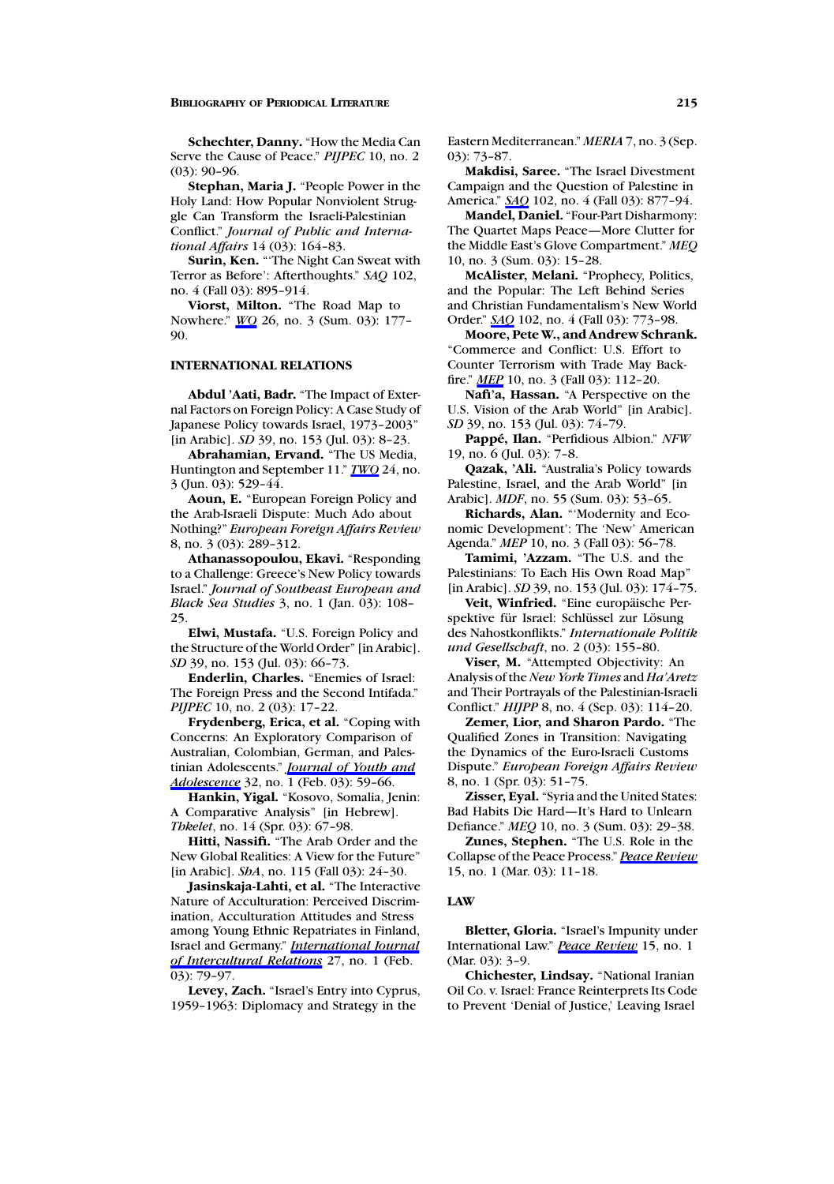**Schechter, Danny.** "How the Media Can Serve the Cause of Peace." *PIJPEC* 10, no. 2 (03): 90–96.

**Stephan, Maria J.** "People Power in the Holy Land: How Popular Nonviolent Struggle Can Transform the Israeli-Palestinian Conflict." *Journal of Public and International Affairs* 14 (03): 164–83.

**Surin, Ken.** "'The Night Can Sweat with Terror as Before': Afterthoughts." *SAQ* 102, no. 4 (Fall 03): 895–914.

**Viorst, Milton.** "The Road Map to Nowhere." *WQ* 26, no. 3 (Sum. 03): 177– 90.

# **INTERNATIONAL RELATIONS**

**Abdul 'Aati, Badr.** "The Impact of External Factors on Foreign Policy: A Case Study of Japanese Policy towards Israel, 1973–2003" [in Arabic]. *SD* 39, no. 153 (Jul. 03): 8–23.

**Abrahamian, Ervand.** "The US Media, Huntington and September 11." *TWQ* 24, no. 3 (Jun. 03): 529–44.

**Aoun, E.** "European Foreign Policy and the Arab-Israeli Dispute: Much Ado about Nothing?" *European Foreign Affairs Review* 8, no. 3 (03): 289–312.

**Athanassopoulou, Ekavi.** "Responding to a Challenge: Greece's New Policy towards Israel." *Journal of Southeast European and Black Sea Studies* 3, no. 1 (Jan. 03): 108– 25.

**Elwi, Mustafa.** "U.S. Foreign Policy and the Structure of the World Order" [in Arabic]. *SD* 39, no. 153 (Jul. 03): 66–73.

**Enderlin, Charles.** "Enemies of Israel: The Foreign Press and the Second Intifada." *PIJPEC* 10, no. 2 (03): 17-22.

**Frydenberg, Erica, et al.** "Coping with Concerns: An Exploratory Comparison of Australian, Colombian, German, and Palestinian Adolescents." *Journal of Youth and Adolescence* 32, no. 1 (Feb. 03): 59–66.

**Hankin, Yigal.** "Kosovo, Somalia, Jenin: A Comparative Analysis" [in Hebrew]. *Thkelet*, no. 14 (Spr. 03): 67–98.

**Hitti, Nassifi.** "The Arab Order and the New Global Realities: A View for the Future" [in Arabic]. *ShA*, no. 115 (Fall 03): 24–30.

**Jasinskaja-Lahti, et al.** "The Interactive Nature of Acculturation: Perceived Discrimination, Acculturation Attitudes and Stress among Young Ethnic Repatriates in Finland, Israel and Germany." *International Journal of Intercultural Relations* 27, no. 1 (Feb. 03): 79–97.

**Levey, Zach.** "Israel's Entry into Cyprus, 1959–1963: Diplomacy and Strategy in the

Eastern Mediterranean." *MERIA* 7, no. 3 (Sep. 03): 73–87.

**Makdisi, Saree.** "The Israel Divestment Campaign and the Question of Palestine in America." *SAQ* 102, no. 4 (Fall 03): 877–94.

**Mandel, Daniel.** "Four-Part Disharmony: The Quartet Maps Peace—More Clutter for the Middle East's Glove Compartment." *MEQ* 10, no. 3 (Sum. 03): 15–28.

**McAlister, Melani.** "Prophecy, Politics, and the Popular: The Left Behind Series and Christian Fundamentalism's New World Order." *SAQ* 102, no. 4 (Fall 03): 773–98.

Moore, Pete W., and Andrew Schrank. "Commerce and Conflict: U.S. Effort to Counter Terrorism with Trade May Backfire." *MEP* 10, no. 3 (Fall 03): 112–20.

**Nafi'a, Hassan.** "A Perspective on the U.S. Vision of the Arab World" [in Arabic]. *SD* 39, no. 153 (Jul. 03): 74–79.

**Pappe, Ilan. ´** "Perfidious Albion." *NFW* 19, no. 6 (Jul. 03): 7–8.

**Qazak, 'Ali.** "Australia's Policy towards Palestine, Israel, and the Arab World" [in Arabic]. *MDF*, no. 55 (Sum. 03): 53–65.

**Richards, Alan.** "'Modernity and Economic Development': The 'New' American Agenda." *MEP* 10, no. 3 (Fall 03): 56–78.

**Tamimi, 'Azzam.** "The U.S. and the Palestinians: To Each His Own Road Map" [in Arabic]. *SD* 39, no. 153 (Jul. 03): 174–75.

Veit, Winfried. "Eine europäische Perspektive für Israel: Schlüssel zur Lösung des Nahostkonflikts." *Internationale Politik und Gesellschaft*, no. 2 (03): 155–80.

**Viser, M.** "Attempted Objectivity: An Analysis of the*New York Times* and *Ha'Aretz* and Their Portrayals of the Palestinian-Israeli Conflict." *HIJPP* 8, no. 4 (Sep. 03): 114–20.

**Zemer, Lior, and Sharon Pardo.** "The Qualified Zones in Transition: Navigating the Dynamics of the Euro-Israeli Customs Dispute." *European Foreign Affairs Review* 8, no. 1 (Spr. 03): 51–75.

**Zisser, Eyal.** "Syria and the United States: Bad Habits Die Hard—It's Hard to Unlearn Defiance." *MEQ* 10, no. 3 (Sum. 03): 29–38.

**Zunes, Stephen.** "The U.S. Role in the Collapse of the Peace Process." *Peace Review* 15, no. 1 (Mar. 03): 11–18.

#### **LAW**

**Bletter, Gloria.** "Israel's Impunity under International Law." *Peace Review* 15, no. 1 (Mar. 03): 3–9.

**Chichester, Lindsay.** "National Iranian Oil Co. v. Israel: France Reinterprets Its Code to Prevent 'Denial of Justice,' Leaving Israel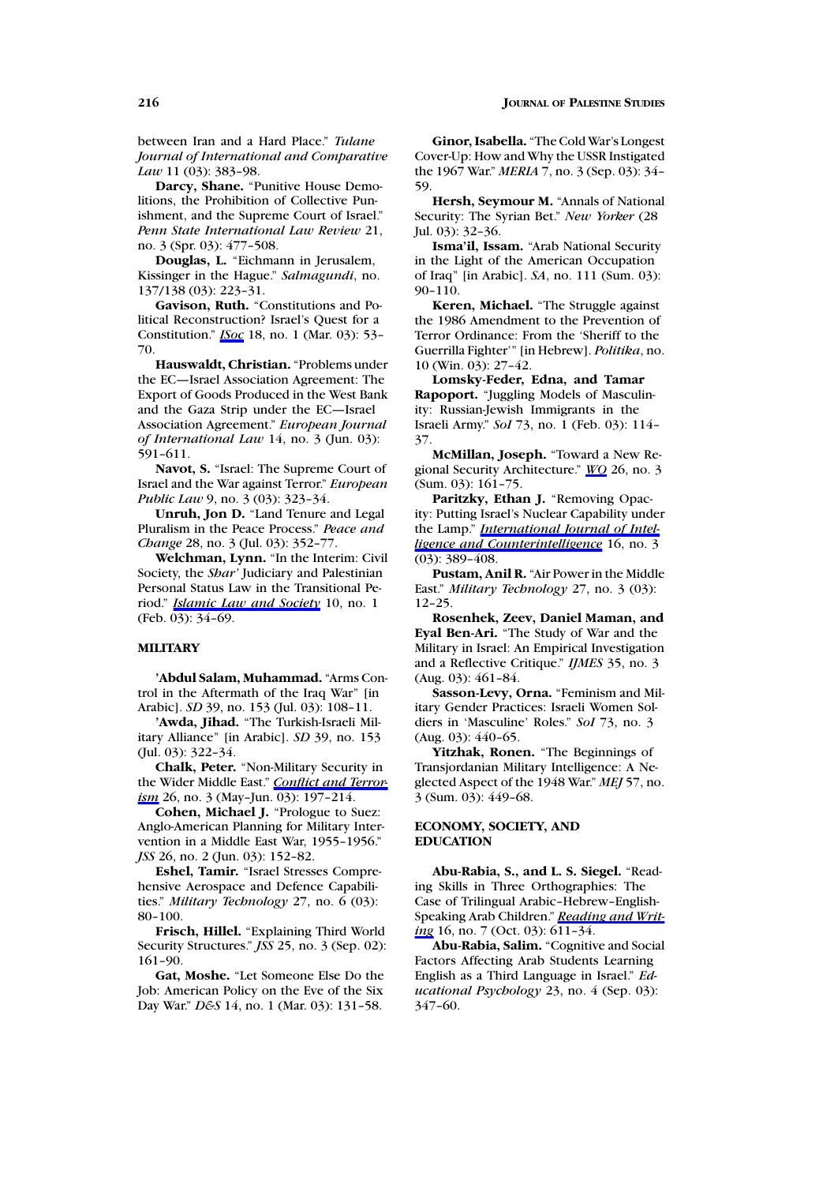between Iran and a Hard Place." *Tulane Journal of International and Comparative Law* 11 (03): 383–98.

**Darcy, Shane.** "Punitive House Demolitions, the Prohibition of Collective Punishment, and the Supreme Court of Israel." *Penn State International Law Review* 21, no. 3 (Spr. 03): 477–508.

**Douglas, L.** "Eichmann in Jerusalem, Kissinger in the Hague." *Salmagundi*, no. 137/138(03): 223–31.

**Gavison, Ruth.** "Constitutions and Political Reconstruction? Israel's Quest for a Constitution." *ISoc* 18, no. 1 (Mar. 03): 53– 70.

**Hauswaldt, Christian.** "Problems under the EC—Israel Association Agreement: The Export of Goods Produced in the West Bank and the Gaza Strip under the EC—Israel Association Agreement." *European Journal of International Law* 14, no. 3 (Jun. 03): 591–611.

**Navot, S.** "Israel: The Supreme Court of Israel and the War against Terror." *European Public Law* 9, no. 3 (03): 323–34.

**Unruh, Jon D.** "Land Tenure and Legal Pluralism in the Peace Process." *Peace and Change* 28, no. 3 (Jul. 03): 352–77.

**Welchman, Lynn.** "In the Interim: Civil Society, the *Shar'* Judiciary and Palestinian Personal Status Law in the Transitional Period." *Islamic Law and Society* 10, no. 1 (Feb. 03): 34–69.

# **MILITARY**

**'Abdul Salam, Muhammad.** "Arms Control in the Aftermath of the Iraq War" [in Arabic]. *SD* 39, no. 153 (Jul. 03): 108–11.

**'Awda, Jihad.** "The Turkish-Israeli Military Alliance" [in Arabic]. *SD* 39, no. 153 (Jul. 03): 322–34.

**Chalk, Peter.** "Non-Military Security in the Wider Middle East." *Conflict and Terrorism* 26, no. 3 (May-Jun. 03):  $\overline{197-214}$ .

**Cohen, Michael J.** "Prologue to Suez: Anglo-American Planning for Military Intervention in a Middle East War, 1955–1956." *JSS* 26, no. 2 (Jun. 03): 152–82.

**Eshel, Tamir.** "Israel Stresses Comprehensive Aerospace and Defence Capabilities." *Military Technology* 27, no. 6 (03): 80–100.

**Frisch, Hillel.** "Explaining Third World Security Structures." *JSS* 25, no. 3 (Sep. 02): 161–90.

**Gat, Moshe.** "Let Someone Else Do the Job: American Policy on the Eve of the Six Day War." *D&S* 14, no. 1 (Mar. 03): 131–58.

**Ginor, Isabella.** "The Cold War's Longest Cover-Up: How and Why the USSR Instigated the 1967 War." *MERIA* 7, no. 3 (Sep. 03): 34– 59.

**Hersh, Seymour M.** "Annals of National Security: The Syrian Bet." *New Yorker* (28 Jul. 03): 32–36.

**Isma'il, Issam.** "Arab National Security in the Light of the American Occupation of Iraq" [in Arabic]. *SA*, no. 111 (Sum. 03): 90–110.

**Keren, Michael.** "The Struggle against the 1986 Amendment to the Prevention of Terror Ordinance: From the 'Sheriff to the Guerrilla Fighter'" [in Hebrew]. *Politika*, no. 10 (Win. 03): 27–42.

**Lomsky-Feder, Edna, and Tamar Rapoport.** "Juggling Models of Masculinity: Russian-Jewish Immigrants in the Israeli Army." *SoI* 73, no. 1 (Feb. 03): 114– 37.

**McMillan, Joseph.** "Toward a New Regional Security Architecture." *WQ* 26, no. 3 (Sum. 03): 161–75.

**Paritzky, Ethan J.** "Removing Opacity: Putting Israel's Nuclear Capability under the Lamp." *International Journal of Intelligence and Counterintelligence* 16, no. 3 (03): 389–408.

**Pustam, Anil R.** "Air Power in the Middle East." *Military Technology* 27, no. 3 (03): 12–25.

**Rosenhek, Zeev, Daniel Maman, and Eyal Ben-Ari.** "The Study of War and the Military in Israel: An Empirical Investigation and a Reflective Critique." *IJMES* 35, no. 3 (Aug. 03): 461–84.

**Sasson-Levy, Orna.** "Feminism and Military Gender Practices: Israeli Women Soldiers in 'Masculine' Roles." *SoI* 73, no. 3 (Aug. 03): 440–65.

**Yitzhak, Ronen.** "The Beginnings of Transjordanian Military Intelligence: A Neglected Aspect of the 1948War." *MEJ* 57, no. 3 (Sum. 03): 449–68.

### **ECONOMY, SOCIETY, AND EDUCATION**

**Abu-Rabia, S., andL. S. Siegel.** "Reading Skills in Three Orthographies: The Case of Trilingual Arabic–Hebrew–English-Speaking Arab Children." *Reading and Writing* 16, no. 7 (Oct. 03): 611-34.

**Abu-Rabia, Salim.** "Cognitive and Social Factors Affecting Arab Students Learning English as a Third Language in Israel." *Educational Psychology* 23, no. 4 (Sep. 03): 347–60.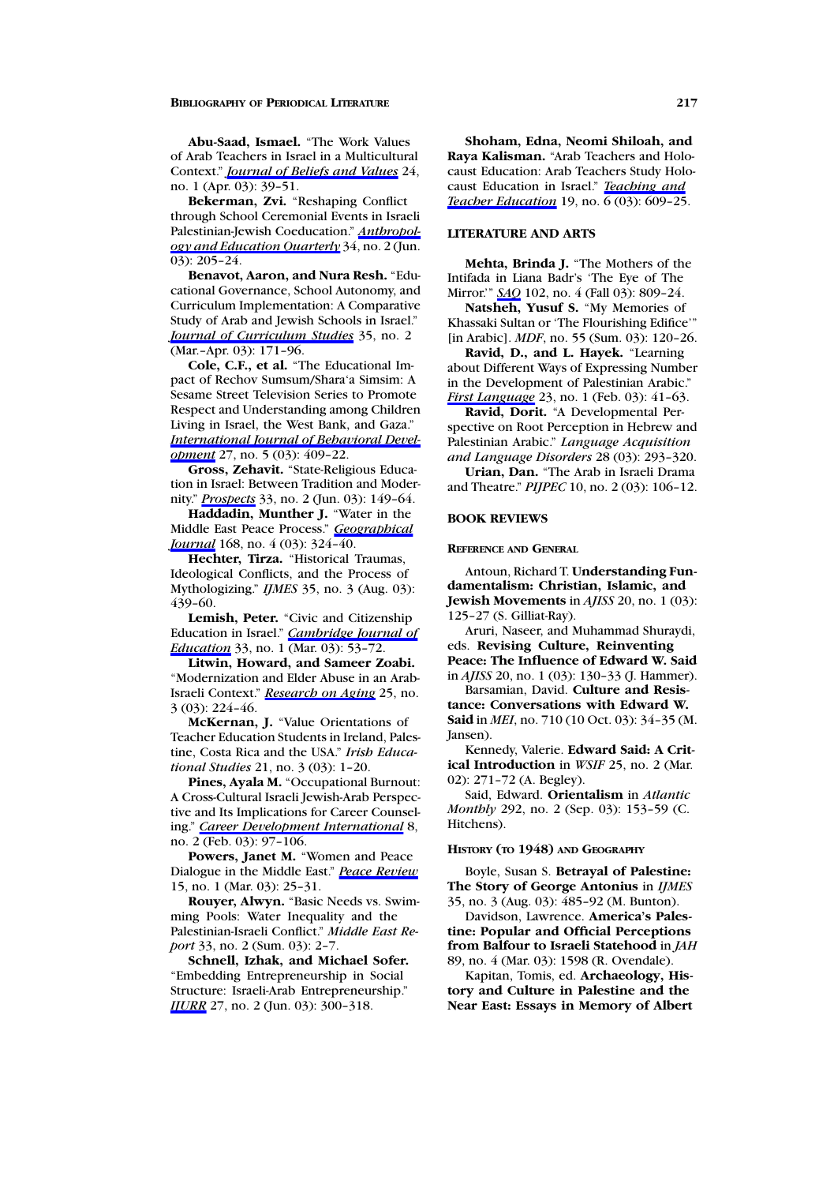**Abu-Saad, Ismael.** "The Work Values of Arab Teachers in Israel in a Multicultural Context." *Journal of Beliefs and Values* 24, no. 1 (Apr. 03): 39–51.

**Bekerman, Zvi.** "Reshaping Conflict through School Ceremonial Events in Israeli Palestinian-Jewish Coeducation." *Anthropology and Education Quarterly* 34, no. 2 (Jun. 03): 205–24.

Benavot, Aaron, and Nura Resh. "Educational Governance, School Autonomy, and Curriculum Implementation: A Comparative Study of Arab and Jewish Schools in Israel." *Journal of Curriculum Studies* 35, no. 2 (Mar.–Apr. 03): 171–96.

**Cole, C.F., et al.** "The Educational Impact of Rechov Sumsum/Shara'a Simsim: A Sesame Street Television Series to Promote Respect and Understanding among Children Living in Israel, the West Bank, and Gaza." *International Journal of Behavioral Development* 27, no. 5 (03): 409–22.

**Gross, Zehavit.** "State-Religious Education in Israel: Between Tradition and Modernity." *Prospects* 33, no. 2 (Jun. 03): 149–64.

**Haddadin, Munther J.** "Water in the Middle East Peace Process." *Geographical Journal* 168, no. 4 (03): 324-40.

**Hechter, Tirza.** "Historical Traumas, Ideological Conflicts, and the Process of Mythologizing." *IJMES* 35, no. 3 (Aug. 03): 439–60.

**Lemish, Peter.** "Civic and Citizenship Education in Israel." *Cambridge Journal of Education* 33, no. 1 (Mar. 03): 53-72.

**Litwin, Howard, and Sameer Zoabi.** "Modernization and Elder Abuse in an Arab-Israeli Context." *Research on Aging* 25, no. 3 (03): 224–46.

**McKernan, J.** "Value Orientations of Teacher Education Students in Ireland, Palestine, Costa Rica and the USA." *Irish Educational Studies* 21, no. 3 (03): 1–20.

**Pines, Ayala M.** "Occupational Burnout: A Cross-Cultural Israeli Jewish-Arab Perspective and Its Implications for Career Counseling." *Career Development International* 8, no. 2 (Feb. 03): 97–106.

**Powers, Janet M.** "Women and Peace Dialogue in the Middle East." *Peace Review* 15, no. 1 (Mar. 03): 25–31.

**Rouyer, Alwyn.** "Basic Needs vs. Swimming Pools: Water Inequality and the Palestinian-Israeli Conflict." *Middle East Report* 33, no. 2 (Sum. 03): 2–7.

Schnell, Izhak, and Michael Sofer. "Embedding Entrepreneurship in Social Structure: Israeli-Arab Entrepreneurship." *IJURR* 27, no. 2 (Jun. 03): 300-318.

**Shoham, Edna, Neomi Shiloah, and Raya Kalisman.** "Arab Teachers and Holocaust Education: Arab Teachers Study Holocaust Education in Israel." *Teaching and Teacher Education* 19, no. 6 (03): 609–25.

### **LITERATURE AND ARTS**

**Mehta, Brinda J.** "The Mothers of the Intifada in Liana Badr's 'The Eye of The Mirror.'" *SAQ* 102, no. 4 (Fall 03): 809–24.

**Natsheh, Yusuf S.** "My Memories of Khassaki Sultan or 'The Flourishing Edifice'" [in Arabic]. *MDF*, no. 55 (Sum. 03): 120–26.

**Ravid, D., and L. Hayek.** "Learning about Different Ways of Expressing Number in the Development of Palestinian Arabic." *First Language* 23, no. 1 (Feb. 03): 41–63.

**Ravid, Dorit.** "A Developmental Perspective on Root Perception in Hebrew and Palestinian Arabic." *Language Acquisition and Language Disorders* 28(03): 293–320.

**Urian, Dan.** "The Arab in Israeli Drama and Theatre." *PIJPEC* 10, no. 2 (03): 106–12.

#### **BOOK REVIEWS**

**REFERENCE AND GENERAL**

Antoun, Richard T. **Understanding Fundamentalism: Christian, Islamic, and Jewish Movements** in *AJISS* 20, no. 1 (03): 125–27 (S. Gilliat-Ray).

Aruri, Naseer, and Muhammad Shuraydi, eds. **Revising Culture, Reinventing Peace: The Influence of Edward W. Said** in *AJISS* 20, no. 1 (03): 130–33 (J. Hammer).

Barsamian, David. Culture and Resis**tance: Conversations with Edward W. Said** in *MEI*, no. 710 (10 Oct. 03): 34–35 (M. Jansen).

Kennedy, Valerie. **Edward Said: A Critical Introduction** in *WSIF* 25, no. 2 (Mar. 02): 271–72 (A. Begley).

Said, Edward. **Orientalism** in *Atlantic Monthly* 292, no. 2 (Sep. 03): 153–59 (C. Hitchens).

#### **HISTORY (TO 1948) AND GEOGRAPHY**

Boyle, Susan S. **Betrayal of Palestine: The Story of George Antonius** in *IJMES* 35, no. 3 (Aug. 03): 485–92 (M. Bunton).

Davidson, Lawrence. **America's Palestine: Popular andOfficial Perceptions from Balfour to Israeli Statehood** in *JAH* 89, no. 4 (Mar. 03): 1598 (R. Ovendale).

Kapitan, Tomis, ed. **Archaeology, His**tory and Culture in Palestine and the **Near East: Essays in Memory of Albert**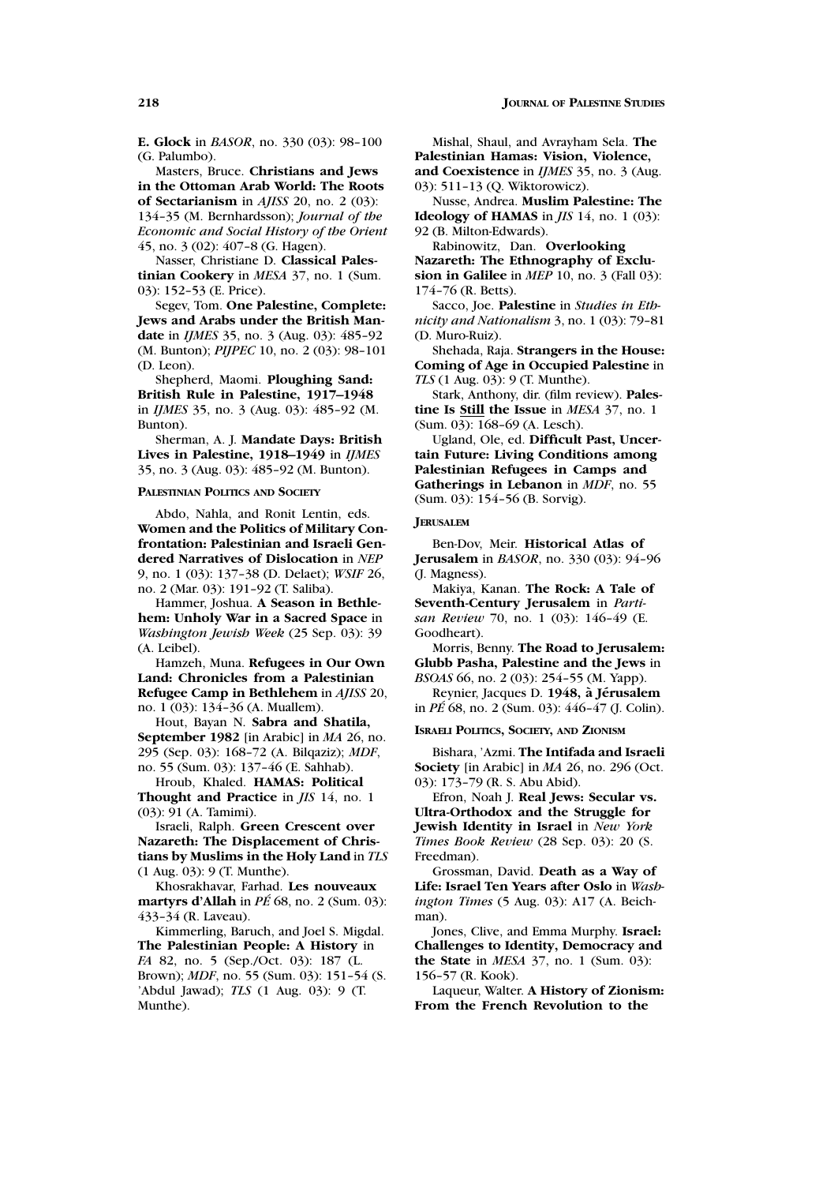**E. Glock** in *BASOR*, no. 330 (03): 98–100 (G. Palumbo).

Masters, Bruce. **Christians and Jews in the Ottoman Arab World: The Roots of Sectarianism** in *AJISS* 20, no. 2 (03): 134–35 (M. Bernhardsson); *Journal of the Economic and Social History of the Orient* 45, no. 3 (02): 407–8(G. Hagen).

Nasser, Christiane D. **Classical Palestinian Cookery** in *MESA* 37, no. 1 (Sum. 03): 152–53 (E. Price).

Segev, Tom. **One Palestine, Complete:** Jews and Arabs under the British Man**date** in *IJMES* 35, no. 3 (Aug. 03): 485–92 (M. Bunton); *PIJPEC* 10, no. 2 (03): 98–101 (D. Leon).

Shepherd, Maomi. **Ploughing Sand: British Rule in Palestine, 1917–1948** in *IJMES* 35, no. 3 (Aug. 03): 485–92 (M. Bunton).

Sherman, A. J. **Mandate Days: British Lives in Palestine, 1918–1949** in *IJMES* 35, no. 3 (Aug. 03): 485–92 (M. Bunton).

**PALESTINIAN POLITICS AND SOCIETY**

Abdo, Nahla, and Ronit Lentin, eds. **Women and the Politics of Military Con**frontation: Palestinian and Israeli Gen**dered Narratives of Dislocation** in *NEP* 9, no. 1 (03): 137–38(D. Delaet); *WSIF* 26, no. 2 (Mar. 03): 191–92 (T. Saliba).

Hammer, Joshua. **A Season in Bethlehem: Unholy War in a Sacred Space** in *Washington Jewish Week* (25 Sep. 03): 39 (A. Leibel).

Hamzeh, Muna. **Refugees in Our Own Land: Chronicles from a Palestinian Refugee Camp in Bethlehem** in *AJISS* 20, no. 1 (03): 134–36 (A. Muallem).

Hout, Bayan N. Sabra and Shatila, **September 1982** [in Arabic] in *MA* 26, no. 295 (Sep. 03): 168–72 (A. Bilqaziz); *MDF*, no. 55 (Sum. 03): 137–46 (E. Sahhab).

Hroub, Khaled. **HAMAS: Political Thought and Practice** in *JIS* 14, no. 1 (03): 91 (A. Tamimi).

Israeli, Ralph. **Green Crescent over Nazareth: The Displacement of Christians by Muslims in the Holy Land** in *TLS* (1 Aug. 03): 9 (T. Munthe).

Khosrakhavar, Farhad. **Les nouveaux martyrs d'Allah** in *PE´* 68, no. 2 (Sum. 03): 433–34 (R. Laveau).

Kimmerling, Baruch, and Joel S. Migdal. **The Palestinian People: A History** in *FA* 82, no. 5 (Sep./Oct. 03): 187 (L. Brown); *MDF*, no. 55 (Sum. 03): 151–54 (S. 'Abdul Jawad); *TLS* (1 Aug. 03): 9 (T. Munthe).

Mishal, Shaul, and Avrayham Sela. **The Palestinian Hamas: Vision, Violence,** and Coexistence in *IJMES* 35, no. 3 (Aug. 03): 511–13 (Q. Wiktorowicz).

Nusse, Andrea. **Muslim Palestine: The Ideology of HAMAS** in *JIS* 14, no. 1 (03): 92 (B. Milton-Edwards).

Rabinowitz, Dan. **Overlooking**

**Nazareth: The Ethnography of Exclusion in Galilee** in *MEP* 10, no. 3 (Fall 03): 174–76 (R. Betts).

Sacco, Joe. **Palestine** in *Studies in Ethnicity and Nationalism* 3, no. 1 (03): 79–81 (D. Muro-Ruiz).

Shehada, Raja. **Strangers in the House: Coming of Age in Occupied Palestine** in *TLS* (1 Aug. 03): 9 (T. Munthe).

Stark, Anthony, dir. (film review). **Palestine Is Still the Issue** in *MESA* 37, no. 1 (Sum. 03): 168–69 (A. Lesch).

Ugland, Ole, ed. **Difficult Past, Uncertain Future: Living Conditions among Palestinian Refugees in Camps and Gatherings in Lebanon** in *MDF*, no. 55 (Sum. 03): 154–56 (B. Sorvig).

#### **JERUSALEM**

Ben-Dov, Meir. **Historical Atlas of Jerusalem** in *BASOR*, no. 330 (03): 94–96 (J. Magness).

Makiya, Kanan. **The Rock: A Tale of Seventh-Century Jerusalem** in *Partisan Review* 70, no. 1 (03): 146–49 (E. Goodheart).

Morris, Benny. **The Road to Jerusalem: Glubb Pasha, Palestine and the Jews** in *BSOAS* 66, no. 2 (03): 254–55 (M. Yapp).

Reynier, Jacques D. **1948, a J ` erusalem ´** in *PE´* 68, no. 2 (Sum. 03): 446–47 (J. Colin).

**ISRAELI POLITICS, SOCIETY, AND ZIONISM**

Bishara, 'Azmi. **The Intifada and Israeli Society** [in Arabic] in *MA* 26, no. 296 (Oct. 03): 173–79 (R. S. Abu Abid).

Efron, Noah J. **Real Jews: Secular vs. Ultra-Orthodox and the Struggle for Jewish Identity in Israel** in *New York Times Book Review* (28 Sep. 03): 20 (S. Freedman).

Grossman, David. **Death as a Way of Life: Israel Ten Years after Oslo** in *Washington Times* (5 Aug. 03): A17 (A. Beichman).

Jones, Clive, and Emma Murphy. **Israel: Challenges to Identity, Democracy and the State** in *MESA* 37, no. 1 (Sum. 03): 156–57 (R. Kook).

Laqueur, Walter. **A History of Zionism: From the French Revolution to the**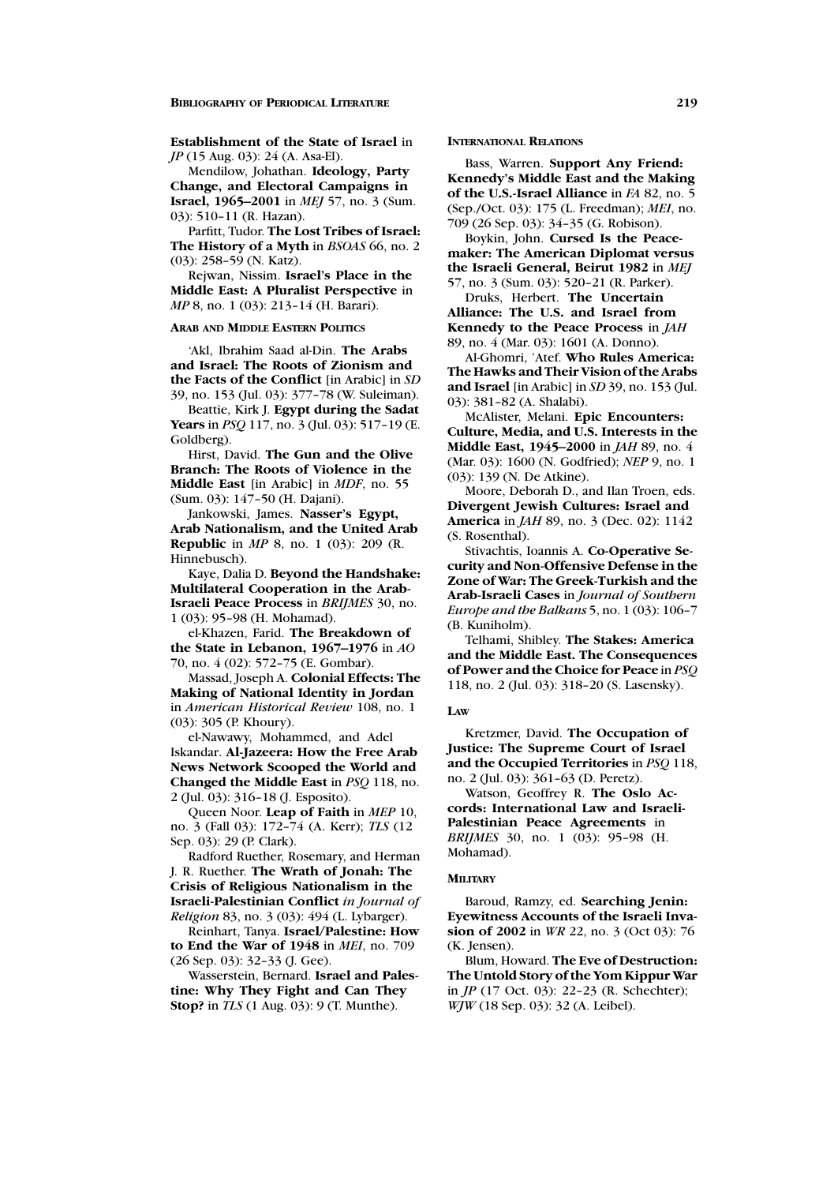**Establishment of the State of Israel** in *JP* (15 Aug. 03): 24 (A. Asa-El).

Mendilow, Johathan. **Ideology, Party Change, and Electoral Campaigns in Israel, 1965–2001** in *MEJ* 57, no. 3 (Sum. 03): 510–11 (R. Hazan).

Parfitt, Tudor. **The Lost Tribes of Israel: The History of a Myth** in *BSOAS* 66, no. 2 (03): 258–59 (N. Katz).

Rejwan, Nissim. **Israel's Place in the Middle East: A Pluralist Perspective** in *MP* 8, no. 1 (03): 213–14 (H. Barari).

### **ARAB AND MIDDLE EASTERN POLITICS**

'Akl, Ibrahim Saad al-Din. **The Arabs** and Israel: The Roots of Zionism and **the Facts of the Conflict** [in Arabic] in *SD* 39, no. 153 (Jul. 03): 377–78(W. Suleiman).

Beattie, Kirk J. **Egypt during the Sadat Years** in *PSQ* 117, no. 3 (Jul. 03): 517–19 (E. Goldberg).

Hirst, David. **The Gun and the Olive Branch: The Roots of Violence in the Middle East** [in Arabic] in *MDF*, no. 55 (Sum. 03): 147–50 (H. Dajani).

Jankowski, James. **Nasser's Egypt,** Arab Nationalism, and the United Arab **Republic** in *MP* 8, no. 1 (03): 209 (R. Hinnebusch).

Kaye, Dalia D. **Beyond the Handshake: Multilateral Cooperation in the Arab-Israeli Peace Process** in *BRIJMES* 30, no. 1 (03): 95–98(H. Mohamad).

el-Khazen, Farid. **The Breakdown of the State in Lebanon, 1967–1976** in *AO* 70, no. 4 (02): 572–75 (E. Gombar).

Massad, Joseph A. **Colonial Effects: The Making of National Identity in Jordan** in *American Historical Review* 108, no. 1 (03): 305 (P. Khoury).

el-Nawawy, Mohammed, and Adel Iskandar. **Al-Jazeera: How the Free Arab News Network Scooped the World and Changed the Middle East** in *PSQ* 118, no. 2 (Jul. 03): 316–18(J. Esposito).

Queen Noor. **Leap of Faith** in *MEP* 10, no. 3 (Fall 03): 172–74 (A. Kerr); *TLS* (12 Sep. 03): 29 (P. Clark).

Radford Ruether, Rosemary, and Herman J. R. Ruether. **The Wrath of Jonah: The Crisis of Religious Nationalism in the Israeli-Palestinian Conflict** *in Journal of Religion* 83, no. 3 (03): 494 (L. Lybarger).

Reinhart, Tanya. **Israel/Palestine: How** to End the War of 1948 in *MEI*, no. 709 (26 Sep. 03): 32–33 (J. Gee).

Wasserstein, Bernard. Israel and Palestine: Why They Fight and Can They **Stop?** in *TLS* (1 Aug. 03): 9 (T. Munthe).

#### **INTERNATIONAL RELATIONS**

Bass, Warren. **Support Any Friend: Kennedy's Middle East and the Making of the U.S.-Israel Alliance** in *FA* 82, no. 5 (Sep./Oct. 03): 175 (L. Freedman); *MEI*, no. 709 (26 Sep. 03): 34–35 (G. Robison).

Boykin, John. **Cursed Is the Peacemaker: The American Diplomat versus the Israeli General, Beirut 1982** in *MEJ* 57, no. 3 (Sum. 03): 520–21 (R. Parker).

Druks, Herbert. **The Uncertain** Alliance: The U.S. and Israel from **Kennedy to the Peace Process** in *JAH* 89, no. 4 (Mar. 03): 1601 (A. Donno).

Al-Ghomri, 'Atef. **Who Rules America: The Hawks andTheir Vision of the Arabs** and Israel [in Arabic] in *SD* 39, no. 153 (Jul. 03): 381–82 (A. Shalabi).

McAlister, Melani. **Epic Encounters: Culture, Media, and U.S. Interests in the Middle East, 1945–2000** in *JAH* 89, no. 4 (Mar. 03): 1600 (N. Godfried); *NEP* 9, no. 1 (03): 139 (N. De Atkine).

Moore, Deborah D., and Ilan Troen, eds. **Divergent Jewish Cultures: Israel and America** in *JAH* 89, no. 3 (Dec. 02): 1142 (S. Rosenthal).

Stivachtis, Ioannis A. **Co-Operative Security andNon-Offensive Defense in the Zone of War: The Greek-Turkish and the Arab-Israeli Cases** in *Journal of Southern Europe and the Balkans* 5, no. 1 (03): 106–7 (B. Kuniholm).

Telhami, Shibley. **The Stakes: America and the Middle East. The Consequences of Power andthe Choice for Peace** in *PSQ* 118, no. 2 (Jul. 03): 318–20 (S. Lasensky).

#### **LAW**

Kretzmer, David. **The Occupation of Justice: The Supreme Court of Israel andthe OccupiedTerritories** in *PSQ* 118, no. 2 (Jul. 03): 361–63 (D. Peretz).

Watson, Geoffrey R. **The Oslo Accords: International Law and Israeli-Palestinian Peace Agreements** in *BRIJMES* 30, no. 1 (03): 95-98 (H. Mohamad).

#### **MILITARY**

Baroud, Ramzy, ed. **Searching Jenin: Eyewitness Accounts of the Israeli Invasion of 2002** in *WR* 22, no. 3 (Oct 03): 76 (K. Jensen).

Blum, Howard. **The Eve of Destruction: The Untold Story of the Yom Kippur War** in *JP* (17 Oct. 03): 22–23 (R. Schechter); *WJW* (18 Sep. 03): 32 (A. Leibel).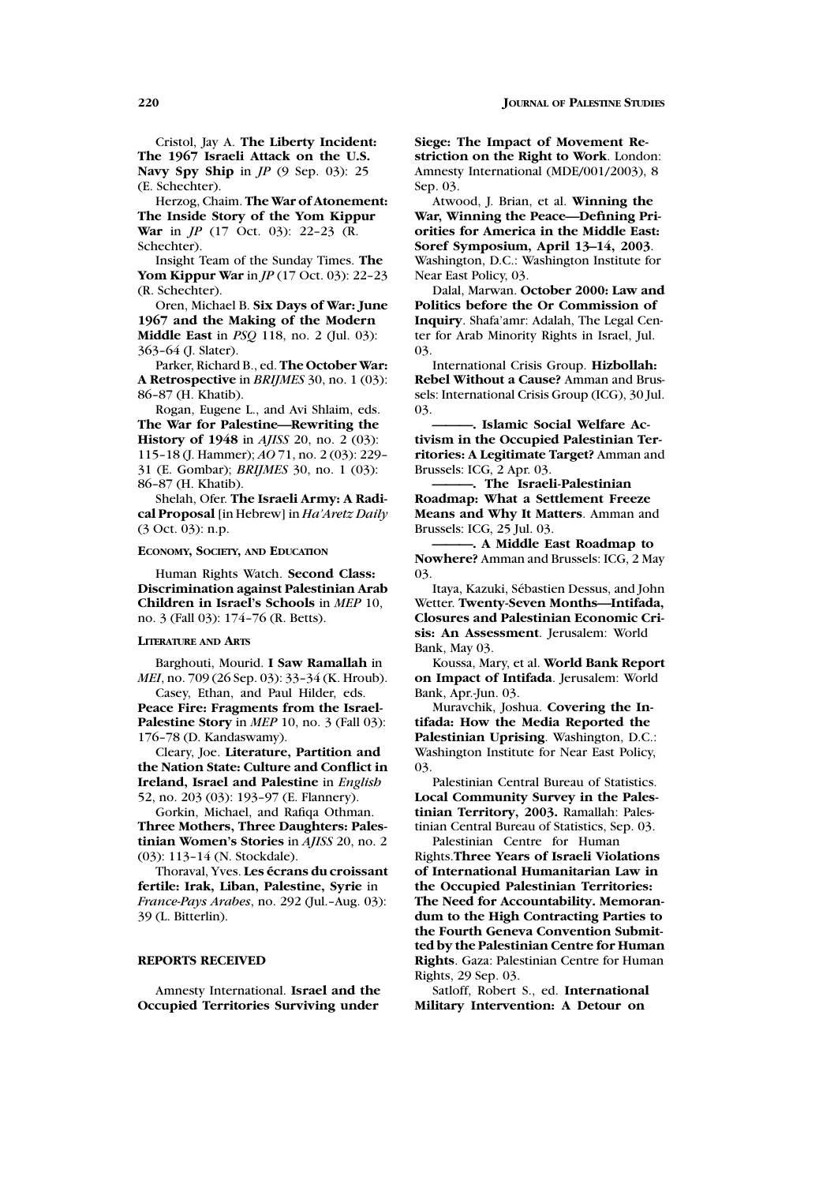Cristol, Jay A. **The Liberty Incident: The 1967 Israeli Attack on the U.S. Navy Spy Ship** in *JP* (9 Sep. 03): 25 (E. Schechter).

Herzog, Chaim. **The War of Atonement: The Inside Story of the Yom Kippur War** in *JP* (17 Oct. 03): 22–23 (R. Schechter).

Insight Team of the Sunday Times. **The Yom Kippur War** in *JP* (17 Oct. 03): 22–23 (R. Schechter).

Oren, Michael B. **Six Days of War: June** 1967 and the Making of the Modern **Middle East** in *PSQ* 118, no. 2 (Jul. 03): 363–64 (J. Slater).

Parker, Richard B., ed. **The October War: A Retrospective** in *BRIJMES* 30, no. 1 (03): 86–87 (H. Khatib).

Rogan, Eugene L., and Avi Shlaim, eds. **The War for Palestine—Rewriting the History of 1948** in *AJISS* 20, no. 2 (03): 115–18(J. Hammer); *AO* 71, no. 2 (03): 229– 31 (E. Gombar); *BRIJMES* 30, no. 1 (03): 86–87 (H. Khatib).

Shelah, Ofer. **The Israeli Army: A Radical Proposal** [in Hebrew] in *Ha'Aretz Daily* (3 Oct. 03): n.p.

#### **ECONOMY, SOCIETY, AND EDUCATION**

Human Rights Watch. **Second Class: Discrimination against Palestinian Arab Children in Israel's Schools** in *MEP* 10, no. 3 (Fall 03): 174–76 (R. Betts).

### **LITERATURE AND ARTS**

Barghouti, Mourid. **I Saw Ramallah** in *MEI*, no. 709 (26 Sep. 03): 33-34 (K. Hroub).

Casey, Ethan, and Paul Hilder, eds. **Peace Fire: Fragments from the Israel-Palestine Story** in *MEP* 10, no. 3 (Fall 03): 176–78(D. Kandaswamy).

Cleary, Joe. **Literature, Partition and** the Nation State: Culture and Conflict in **Ireland, Israel and Palestine** in *English* 52, no. 203 (03): 193–97 (E. Flannery).

Gorkin, Michael, and Rafiqa Othman. **Three Mothers, Three Daughters: Palestinian Women's Stories** in *AJISS* 20, no. 2 (03): 113–14 (N. Stockdale).

Thoraval, Yves. **Les ecrans du croissant ´ fertile: Irak, Liban, Palestine, Syrie** in *France-Pays Arabes*, no. 292 (Jul.–Aug. 03): 39 (L. Bitterlin).

### **REPORTS RECEIVED**

Amnesty International. **Israel and the Occupied Territories Surviving under** 

**Siege: The Impact of Movement Restriction on the Right to Work**. London: Amnesty International (MDE/001/2003), 8 Sep. 03.

Atwood, J. Brian, et al. **Winning the War, Winning the Peace—Defining Priorities for America in the Middle East: Soref Symposium, April 13–14, 2003**. Washington, D.C.: Washington Institute for Near East Policy, 03.

Dalal, Marwan. **October 2000: Law and Politics before the Or Commission of Inquiry**. Shafa'amr: Adalah, The Legal Center for Arab Minority Rights in Israel, Jul. 03.

International Crisis Group. **Hizbollah: Rebel Without a Cause?** Amman and Brussels: International Crisis Group (ICG), 30 Jul. 03.

**———. Islamic Social Welfare Ac**tivism in the Occupied Palestinian Ter**ritories: A Legitimate Target?** Amman and Brussels: ICG, 2 Apr. 03.

**———. The Israeli-Palestinian Roadmap: What a Settlement Freeze Means andWhy It Matters**. Amman and Brussels: ICG, 25 Jul. 03.

**———. A Middle East Roadmap to Nowhere?** Amman and Brussels: ICG, 2 May 03.

Itaya, Kazuki, Sébastien Dessus, and John Wetter. **Twenty-Seven Months—Intifada, Closures and Palestinian Economic Crisis: An Assessment**. Jerusalem: World Bank, May 03.

Koussa, Mary, et al. **World Bank Report on Impact of Intifada**. Jerusalem: World Bank, Apr.-Jun. 03.

Muravchik, Joshua. **Covering the Intifada: How the Media Reported the Palestinian Uprising**. Washington, D.C.: Washington Institute for Near East Policy, 03.

Palestinian Central Bureau of Statistics. **Local Community Survey in the Palestinian Territory, 2003.** Ramallah: Palestinian Central Bureau of Statistics, Sep. 03. Palestinian Centre for Human

Rights.**Three Years of Israeli Violations of International Humanitarian Law in** the Occupied Palestinian Territories: The Need for Accountability. Memoran**dum to the High Contracting Parties to the Fourth Geneva Convention Submittedby the Palestinian Centre for Human Rights**. Gaza: Palestinian Centre for Human Rights, 29 Sep. 03.

Satloff, Robert S., ed. **International Military Intervention: A Detour on**